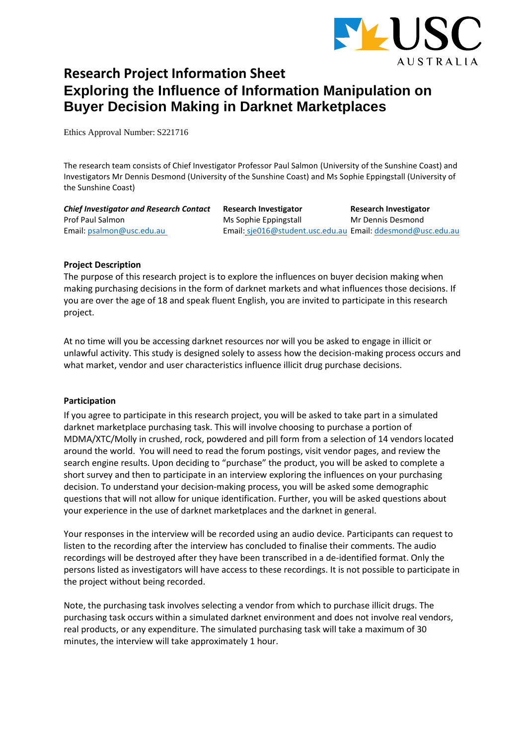

# **Research Project Information Sheet Exploring the Influence of Information Manipulation on Buyer Decision Making in Darknet Marketplaces**

Ethics Approval Number: S221716

The research team consists of Chief Investigator Professor Paul Salmon (University of the Sunshine Coast) and Investigators Mr Dennis Desmond (University of the Sunshine Coast) and Ms Sophie Eppingstall (University of the Sunshine Coast)

| <b>Chief Investigator and Research Contact</b> | Research Investigator                                       | <b>Research Investigator</b> |
|------------------------------------------------|-------------------------------------------------------------|------------------------------|
| Prof Paul Salmon                               | Ms Sophie Eppingstall                                       | Mr Dennis Desmond            |
| Email: psalmon@usc.edu.au                      | Email: sje016@student.usc.edu.au Email: ddesmond@usc.edu.au |                              |

# **Project Description**

The purpose of this research project is to explore the influences on buyer decision making when making purchasing decisions in the form of darknet markets and what influences those decisions. If you are over the age of 18 and speak fluent English, you are invited to participate in this research project.

At no time will you be accessing darknet resources nor will you be asked to engage in illicit or unlawful activity. This study is designed solely to assess how the decision-making process occurs and what market, vendor and user characteristics influence illicit drug purchase decisions.

# **Participation**

If you agree to participate in this research project, you will be asked to take part in a simulated darknet marketplace purchasing task. This will involve choosing to purchase a portion of MDMA/XTC/Molly in crushed, rock, powdered and pill form from a selection of 14 vendors located around the world. You will need to read the forum postings, visit vendor pages, and review the search engine results. Upon deciding to "purchase" the product, you will be asked to complete a short survey and then to participate in an interview exploring the influences on your purchasing decision. To understand your decision-making process, you will be asked some demographic questions that will not allow for unique identification. Further, you will be asked questions about your experience in the use of darknet marketplaces and the darknet in general.

Your responses in the interview will be recorded using an audio device. Participants can request to listen to the recording after the interview has concluded to finalise their comments. The audio recordings will be destroyed after they have been transcribed in a de-identified format. Only the persons listed as investigators will have access to these recordings. It is not possible to participate in the project without being recorded.

Note, the purchasing task involves selecting a vendor from which to purchase illicit drugs. The purchasing task occurs within a simulated darknet environment and does not involve real vendors, real products, or any expenditure. The simulated purchasing task will take a maximum of 30 minutes, the interview will take approximately 1 hour.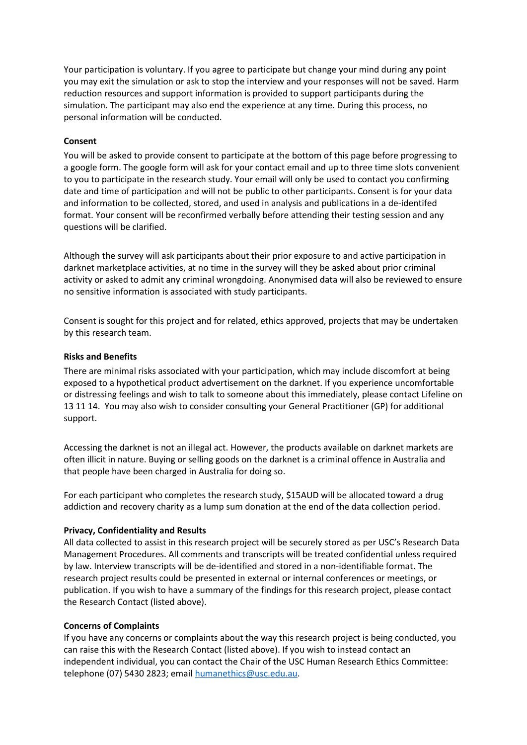Your participation is voluntary. If you agree to participate but change your mind during any point you may exit the simulation or ask to stop the interview and your responses will not be saved. Harm reduction resources and support information is provided to support participants during the simulation. The participant may also end the experience at any time. During this process, no personal information will be conducted.

### **Consent**

You will be asked to provide consent to participate at the bottom of this page before progressing to a google form. The google form will ask for your contact email and up to three time slots convenient to you to participate in the research study. Your email will only be used to contact you confirming date and time of participation and will not be public to other participants. Consent is for your data and information to be collected, stored, and used in analysis and publications in a de-identifed format. Your consent will be reconfirmed verbally before attending their testing session and any questions will be clarified.

Although the survey will ask participants about their prior exposure to and active participation in darknet marketplace activities, at no time in the survey will they be asked about prior criminal activity or asked to admit any criminal wrongdoing. Anonymised data will also be reviewed to ensure no sensitive information is associated with study participants.

Consent is sought for this project and for related, ethics approved, projects that may be undertaken by this research team.

#### **Risks and Benefits**

There are minimal risks associated with your participation, which may include discomfort at being exposed to a hypothetical product advertisement on the darknet. If you experience uncomfortable or distressing feelings and wish to talk to someone about this immediately, please contact Lifeline on 13 11 14. You may also wish to consider consulting your General Practitioner (GP) for additional support.

Accessing the darknet is not an illegal act. However, the products available on darknet markets are often illicit in nature. Buying or selling goods on the darknet is a criminal offence in Australia and that people have been charged in Australia for doing so.

For each participant who completes the research study, \$15AUD will be allocated toward a drug addiction and recovery charity as a lump sum donation at the end of the data collection period.

#### **Privacy, Confidentiality and Results**

All data collected to assist in this research project will be securely stored as per USC's Research Data Management Procedures. All comments and transcripts will be treated confidential unless required by law. Interview transcripts will be de-identified and stored in a non-identifiable format. The research project results could be presented in external or internal conferences or meetings, or publication. If you wish to have a summary of the findings for this research project, please contact the Research Contact (listed above).

# **Concerns of Complaints**

If you have any concerns or complaints about the way this research project is being conducted, you can raise this with the Research Contact (listed above). If you wish to instead contact an independent individual, you can contact the Chair of the USC Human Research Ethics Committee: telephone (07) 5430 2823; email [humanethics@usc.edu.au.](mailto:humanethics@usc.edu.au)